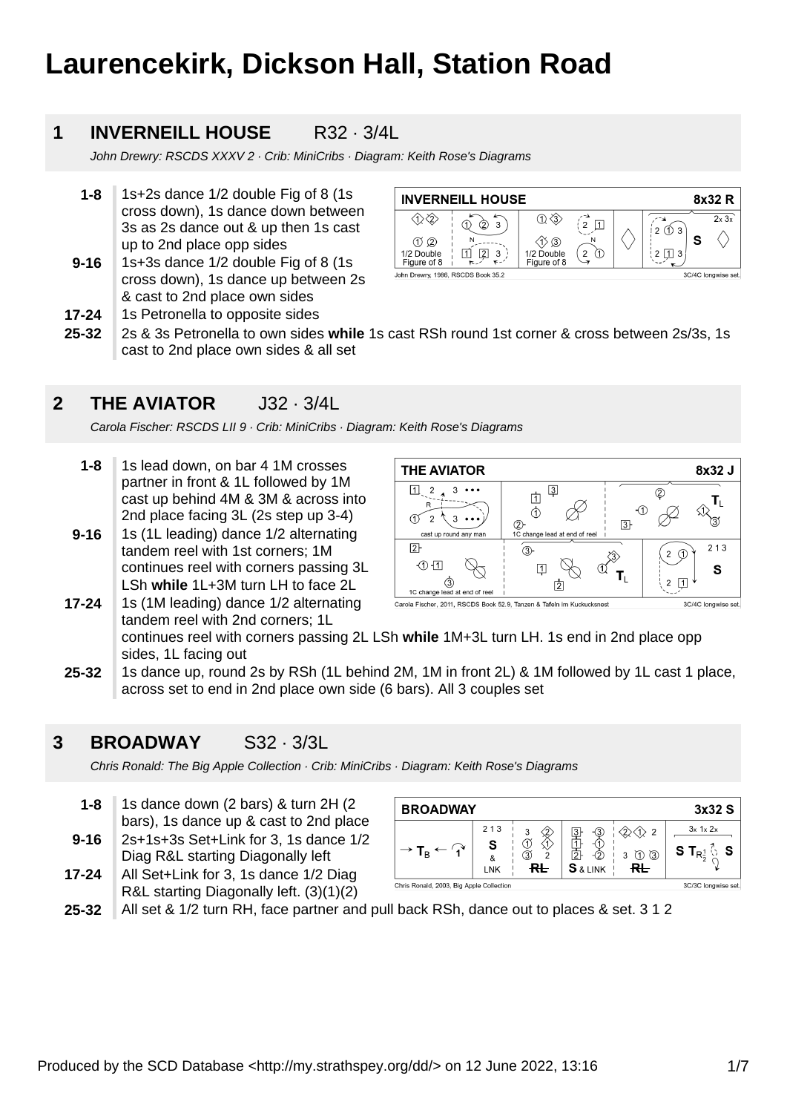# **Laurencekirk, Dickson Hall, Station Road**

#### **1 INVERNEILL HOUSE** R32 · 3/4L

John Drewry: RSCDS XXXV 2 · Crib: MiniCribs · Diagram: Keith Rose's Diagrams

- **1-8** 1s+2s dance 1/2 double Fig of 8 (1s cross down), 1s dance down between 3s as 2s dance out & up then 1s cast up to 2nd place opp sides
- **9-16** 1s+3s dance 1/2 double Fig of 8 (1s cross down), 1s dance up between 2s & cast to 2nd place own sides
- **INVERNEILL HOUSE** 8x32 R  $\textcircled{1}$  $\overline{2 \times 3 \times}$  $\left(\begin{smallmatrix}\n2\\2\n\end{smallmatrix}\right)\n\Box$  $\delta$  3  $\bigcirc$  $1203$ S  $(1)$  $(2)$ N  $\langle \hat{1} \rangle$  (3)  $1/2$  Double  $(2)$  $2 \Box$  3 1/2 Double □  $\boxed{2}$  3 Figure of 8 Figure of 8 John Drewry, 1986, RSCDS Book 35.2 3C/4C longwise set.
- **17-24** 1s Petronella to opposite sides
- **25-32** 2s & 3s Petronella to own sides **while** 1s cast RSh round 1st corner & cross between 2s/3s, 1s cast to 2nd place own sides & all set

#### **2 THE AVIATOR** J32 · 3/4L

Carola Fischer: RSCDS LII 9 · Crib: MiniCribs · Diagram: Keith Rose's Diagrams

- **1-8** 1s lead down, on bar 4 1M crosses partner in front & 1L followed by 1M cast up behind 4M & 3M & across into 2nd place facing 3L (2s step up 3-4)
- **9-16** 1s (1L leading) dance 1/2 alternating tandem reel with 1st corners; 1M continues reel with corners passing 3L LSh **while** 1L+3M turn LH to face 2L

1s (1M leading) dance 1/2 alternating



Carola Fischer, 2011, RSCDS Book 52.9, Tanzen & Tafeln im Kuckucksnest

tandem reel with 2nd corners; 1L continues reel with corners passing 2L LSh **while** 1M+3L turn LH. 1s end in 2nd place opp sides, 1L facing out

**25-32** 1s dance up, round 2s by RSh (1L behind 2M, 1M in front 2L) & 1M followed by 1L cast 1 place, across set to end in 2nd place own side (6 bars). All 3 couples set

#### **3 BROADWAY** S32 · 3/3L

**17-24**

Chris Ronald: The Big Apple Collection · Crib: MiniCribs · Diagram: Keith Rose's Diagrams

- **9-16 1-8** 1s dance down (2 bars) & turn 2H (2 bars), 1s dance up & cast to 2nd place 2s+1s+3s Set+Link for 3, 1s dance 1/2
- Diag R&L starting Diagonally left
- **17-24** All Set+Link for 3, 1s dance 1/2 Diag R&L starting Diagonally left. (3)(1)(2)

| <b>BROADWAY</b>                            |                        |              |                      |                                            | 3x32 S              |
|--------------------------------------------|------------------------|--------------|----------------------|--------------------------------------------|---------------------|
| $\cdot \rightarrow$ T <sub>B</sub> $\cdot$ | 213<br>&<br><b>LNK</b> | 3<br>3<br>RL | 3<br><b>S</b> & LINK | $\overline{2}$<br>$\circled{3}$<br>3<br>ਚ⊢ | $3x$ 1x $2x$<br>S T |
| Chris Ronald, 2003, Big Apple Collection   |                        |              |                      |                                            | 3C/3C longwise set. |

**25-32** All set & 1/2 turn RH, face partner and pull back RSh, dance out to places & set. 3 1 2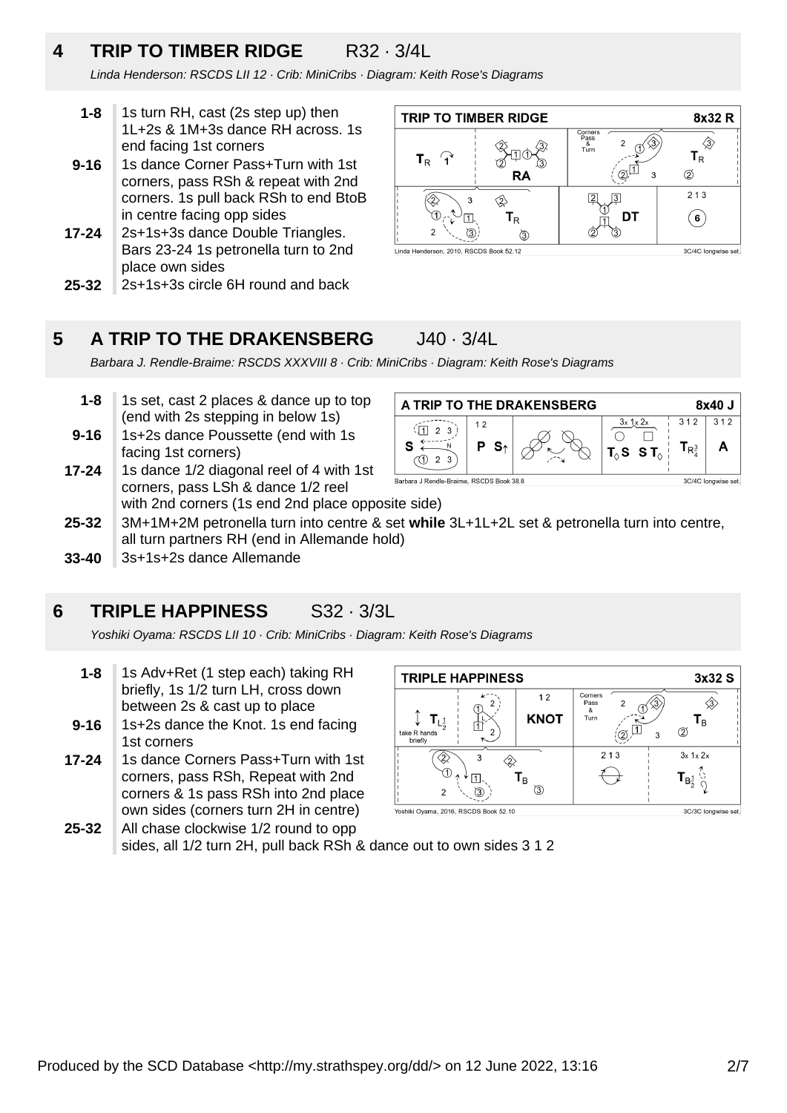## **4 TRIP TO TIMBER RIDGE** R32 · 3/4L

Linda Henderson: RSCDS LII 12 · Crib: MiniCribs · Diagram: Keith Rose's Diagrams

- **1-8** 1s turn RH, cast (2s step up) then 1L+2s & 1M+3s dance RH across. 1s end facing 1st corners
- **9-16** 1s dance Corner Pass+Turn with 1st corners, pass RSh & repeat with 2nd corners. 1s pull back RSh to end BtoB in centre facing opp sides
- **17-24** 2s+1s+3s dance Double Triangles. Bars 23-24 1s petronella turn to 2nd place own sides
- **25-32** 2s+1s+3s circle 6H round and back



#### **5 A TRIP TO THE DRAKENSBERG** J40 · 3/4L

Barbara J. Rendle-Braime: RSCDS XXXVIII 8 · Crib: MiniCribs · Diagram: Keith Rose's Diagrams

- **9-16 1-8** 1s set, cast 2 places & dance up to top (end with 2s stepping in below 1s) 1s+2s dance Poussette (end with 1s
- **17-24** facing 1st corners) 1s dance 1/2 diagonal reel of 4 with 1st
- corners, pass LSh & dance 1/2 reel with 2nd corners (1s end 2nd place opposite side)

| A TRIP TO THE DRAKENSBERG                |            |  |                                                | 8x40 J                    |     |
|------------------------------------------|------------|--|------------------------------------------------|---------------------------|-----|
|                                          | 12<br>∴ S∗ |  | $3x$ $1x$ $2x$<br>$T_{\wedge}$ SST $_{\wedge}$ | 312<br>$I_{\mathsf{R}^3}$ | 312 |
| Barbara J Rendle-Braime, RSCDS Book 38.8 |            |  |                                                | 3C/4C longwise set.       |     |

- **25-32** 3M+1M+2M petronella turn into centre & set **while** 3L+1L+2L set & petronella turn into centre, all turn partners RH (end in Allemande hold)
- **33-40** 3s+1s+2s dance Allemande

#### **6 TRIPLE HAPPINESS** S32 · 3/3L

Yoshiki Oyama: RSCDS LII 10 · Crib: MiniCribs · Diagram: Keith Rose's Diagrams

- **1-8** 1s Adv+Ret (1 step each) taking RH briefly, 1s 1/2 turn LH, cross down between 2s & cast up to place
- **9-16** 1s+2s dance the Knot. 1s end facing 1st corners
- **25-32 17-24** 1s dance Corners Pass+Turn with 1st corners, pass RSh, Repeat with 2nd corners & 1s pass RSh into 2nd place own sides (corners turn 2H in centre)



Yoshiki Oyama, 2016, RSCDS Book 52.10

3C/3C longwise set

All chase clockwise 1/2 round to opp sides, all 1/2 turn 2H, pull back RSh & dance out to own sides 3 1 2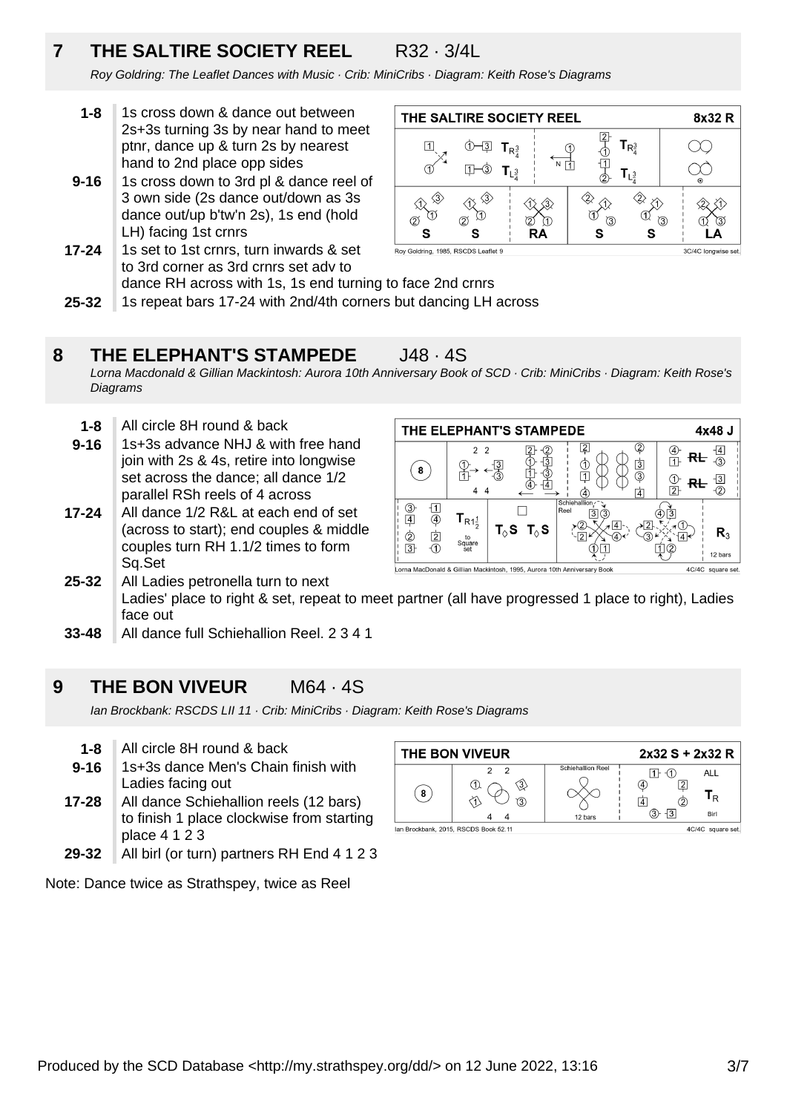# **7 THE SALTIRE SOCIETY REEL** R32 · 3/4L

Roy Goldring: The Leaflet Dances with Music · Crib: MiniCribs · Diagram: Keith Rose's Diagrams

- **1-8** 1s cross down & dance out between 2s+3s turning 3s by near hand to meet ptnr, dance up & turn 2s by nearest hand to 2nd place opp sides
- **9-16** 1s cross down to 3rd pl & dance reel of 3 own side (2s dance out/down as 3s dance out/up b'tw'n 2s), 1s end (hold LH) facing 1st crnrs
- **17-24** 1s set to 1st crnrs, turn inwards & set to 3rd corner as 3rd crnrs set adv to dance RH across with 1s, 1s end turning to face 2nd crnrs



**25-32** 1s repeat bars 17-24 with 2nd/4th corners but dancing LH across

#### **8 THE ELEPHANT'S STAMPEDE** J48 · 4S

Lorna Macdonald & Gillian Mackintosh: Aurora 10th Anniversary Book of SCD · Crib: MiniCribs · Diagram: Keith Rose's **Diagrams** 

- **1-8** All circle 8H round & back
- **9-16** 1s+3s advance NHJ & with free hand join with 2s & 4s, retire into longwise set across the dance; all dance 1/2 parallel RSh reels of 4 across
- **17-24** All dance 1/2 R&L at each end of set (across to start); end couples & middle couples turn RH 1.1/2 times to form Sq.Set

| THE ELEPHANT'S STAMPEDE                                                                       |                                                     | 4x48 J                          |                        |                                                 |                |
|-----------------------------------------------------------------------------------------------|-----------------------------------------------------|---------------------------------|------------------------|-------------------------------------------------|----------------|
| 8                                                                                             | 2 <sub>2</sub>                                      |                                 |                        | 4<br>$\overline{3}$<br>③<br>$\overline{2}$<br>4 | $\overline{ }$ |
| 3)<br>4<br>$\overline{2}$<br>2<br>$\overline{3}$                                              | ${\mathbf T}_{{\sf R1}^1_2}$<br>to<br>Square<br>set | $T_{\Diamond}S$ $T_{\Diamond}S$ | Schiehallion /<br>Reel |                                                 | R,<br>12 bars  |
| Lorna MacDonald & Gillian Mackintosh, 1995, Aurora 10th Anniversary Book<br>4C/4C square set. |                                                     |                                 |                        |                                                 |                |

- **25-32** All Ladies petronella turn to next Ladies' place to right & set, repeat to meet partner (all have progressed 1 place to right), Ladies face out
- **33-48** All dance full Schiehallion Reel. 2 3 4 1

#### **9 THE BON VIVEUR** M64 · 4S

Ian Brockbank: RSCDS LII 11 · Crib: MiniCribs · Diagram: Keith Rose's Diagrams

- **1-8** All circle 8H round & back
- **17-28 9-16** 1s+3s dance Men's Chain finish with Ladies facing out All dance Schiehallion reels (12 bars)
- to finish 1 place clockwise from starting place 4 1 2 3 All birl (or turn) partners RH End 4 1 2 3
- **29-32**

Note: Dance twice as Strathspey, twice as Reel

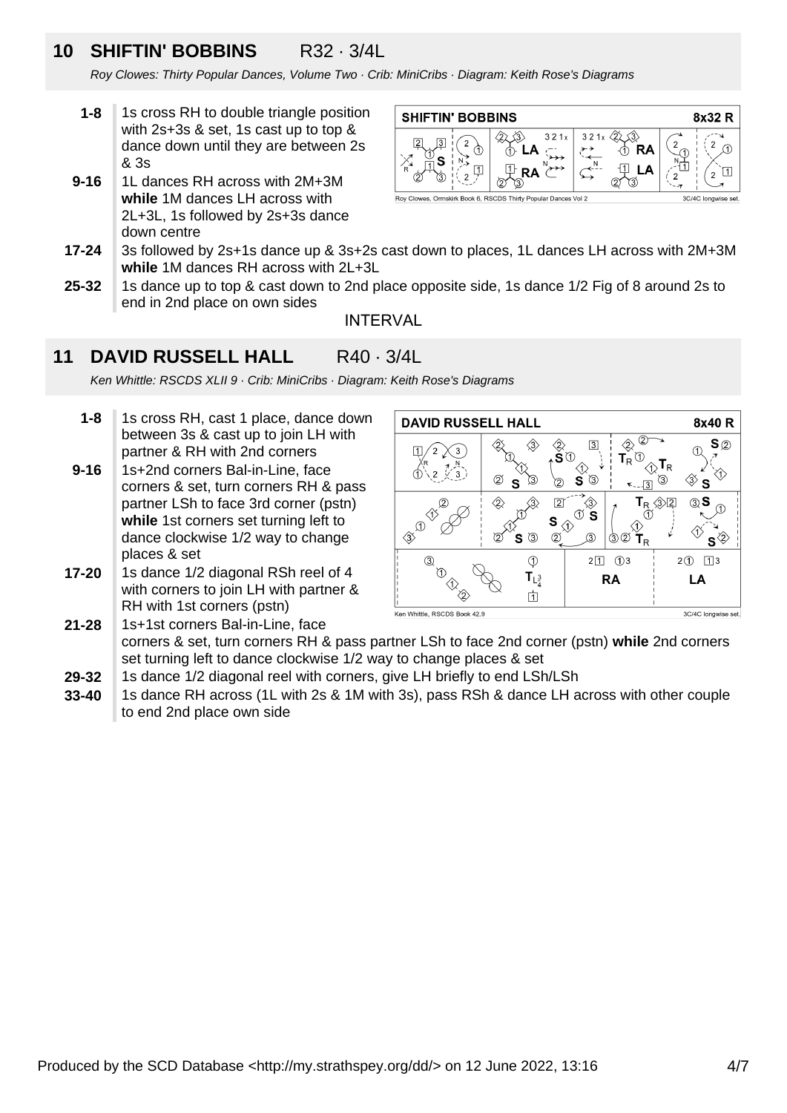## **10 SHIFTIN' BOBBINS** R32 · 3/4L

Roy Clowes: Thirty Popular Dances, Volume Two · Crib: MiniCribs · Diagram: Keith Rose's Diagrams

- **1-8** 1s cross RH to double triangle position with 2s+3s & set, 1s cast up to top & dance down until they are between 2s & 3s
- **9-16** 1L dances RH across with 2M+3M **while** 1M dances LH across with 2L+3L, 1s followed by 2s+3s dance down centre



- **17-24** 3s followed by 2s+1s dance up & 3s+2s cast down to places, 1L dances LH across with 2M+3M **while** 1M dances RH across with 2L+3L
- **25-32** 1s dance up to top & cast down to 2nd place opposite side, 1s dance 1/2 Fig of 8 around 2s to end in 2nd place on own sides

INTERVAL

#### **11 DAVID RUSSELL HALL R40 · 3/4L**

Ken Whittle: RSCDS XLII 9 · Crib: MiniCribs · Diagram: Keith Rose's Diagrams

- **1-8** 1s cross RH, cast 1 place, dance down between 3s & cast up to join LH with partner & RH with 2nd corners
- **9-16** 1s+2nd corners Bal-in-Line, face corners & set, turn corners RH & pass partner LSh to face 3rd corner (pstn) **while** 1st corners set turning left to dance clockwise 1/2 way to change places & set
- **17-20** 1s dance 1/2 diagonal RSh reel of 4 with corners to join LH with partner & RH with 1st corners (pstn)



**21-28** 1s+1st corners Bal-in-Line, face corners & set, turn corners RH & pass partner LSh to face 2nd corner (pstn) while 2nd corners set turning left to dance clockwise 1/2 way to change places & set

- **29-32** 1s dance 1/2 diagonal reel with corners, give LH briefly to end LSh/LSh
- **33-40** 1s dance RH across (1L with 2s & 1M with 3s), pass RSh & dance LH across with other couple to end 2nd place own side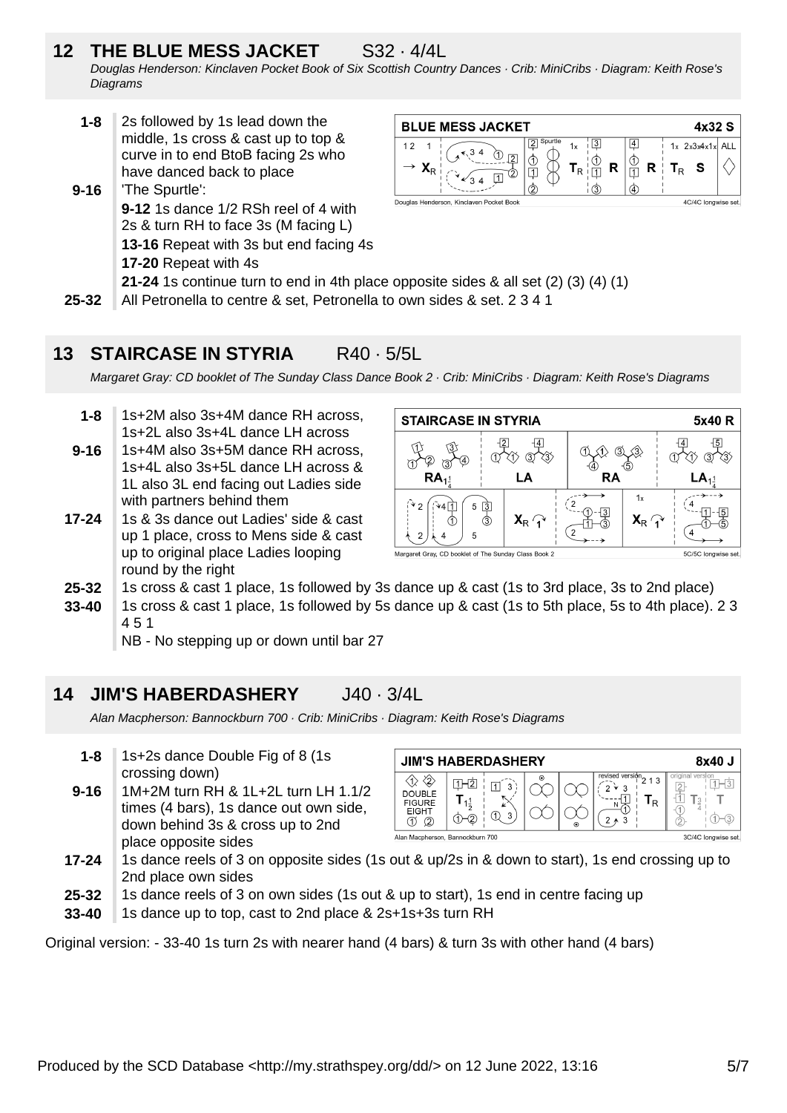# **12 THE BLUE MESS JACKET** S32 · 4/4L

Douglas Henderson: Kinclaven Pocket Book of Six Scottish Country Dances · Crib: MiniCribs · Diagram: Keith Rose's **Diagrams** 

- **1-8** 2s followed by 1s lead down the middle, 1s cross & cast up to top & curve in to end BtoB facing 2s who have danced back to place
- **9-16** 'The Spurtle': **9-12** 1s dance 1/2 RSh reel of 4 with 2s & turn RH to face 3s (M facing L) **13-16** Repeat with 3s but end facing 4s **17-20** Repeat with 4s



- **21-24** 1s continue turn to end in 4th place opposite sides & all set (2) (3) (4) (1)
- **25-32** All Petronella to centre & set, Petronella to own sides & set. 2 3 4 1

#### **13 STAIRCASE IN STYRIA** R40 · 5/5L

Margaret Gray: CD booklet of The Sunday Class Dance Book 2 · Crib: MiniCribs · Diagram: Keith Rose's Diagrams

- **1-8** 1s+2M also 3s+4M dance RH across, 1s+2L also 3s+4L dance LH across 1s+4M also 3s+5M dance RH across,
- **9-16** 1s+4L also 3s+5L dance LH across & 1L also 3L end facing out Ladies side with partners behind them
- **17-24** 1s & 3s dance out Ladies' side & cast up 1 place, cross to Mens side & cast up to original place Ladies looping round by the right



- **25-32** 1s cross & cast 1 place, 1s followed by 3s dance up & cast (1s to 3rd place, 3s to 2nd place)
- **33-40** 1s cross & cast 1 place, 1s followed by 5s dance up & cast (1s to 5th place, 5s to 4th place). 2 3 4 5 1
	- NB No stepping up or down until bar 27

#### **14 JIM'S HABERDASHERY** J40 · 3/4L

Alan Macpherson: Bannockburn 700 · Crib: MiniCribs · Diagram: Keith Rose's Diagrams

- **9-16 1-8** 1s+2s dance Double Fig of 8 (1s crossing down) 1M+2M turn RH & 1L+2L turn LH 1.1/2
- times (4 bars), 1s dance out own side, down behind 3s & cross up to 2nd place opposite sides

| <b>JIM'S HABERDASHERY</b>                                 | 8x40 J                   |         |         |                                                                          |                    |
|-----------------------------------------------------------|--------------------------|---------|---------|--------------------------------------------------------------------------|--------------------|
| ∕∂<br><b>DOUBLE</b><br><b>FIGURE</b><br><b>EIGHT</b><br>Q | 3<br>$1\frac{1}{2}$<br>3 | $\odot$ | $\odot$ | $\frac{1}{2}$ revised version 2 1 3 $\frac{1}{2}$<br>3<br>w<br>R<br>$*3$ | version<br>origina |
| 3C/4C Iongwise set<br>Alan Macpherson, Bannockburn 700    |                          |         |         |                                                                          |                    |

- **17-24** 1s dance reels of 3 on opposite sides (1s out & up/2s in & down to start), 1s end crossing up to 2nd place own sides
- **25-32** 1s dance reels of 3 on own sides (1s out & up to start), 1s end in centre facing up
- **33-40** 1s dance up to top, cast to 2nd place & 2s+1s+3s turn RH

Original version: - 33-40 1s turn 2s with nearer hand (4 bars) & turn 3s with other hand (4 bars)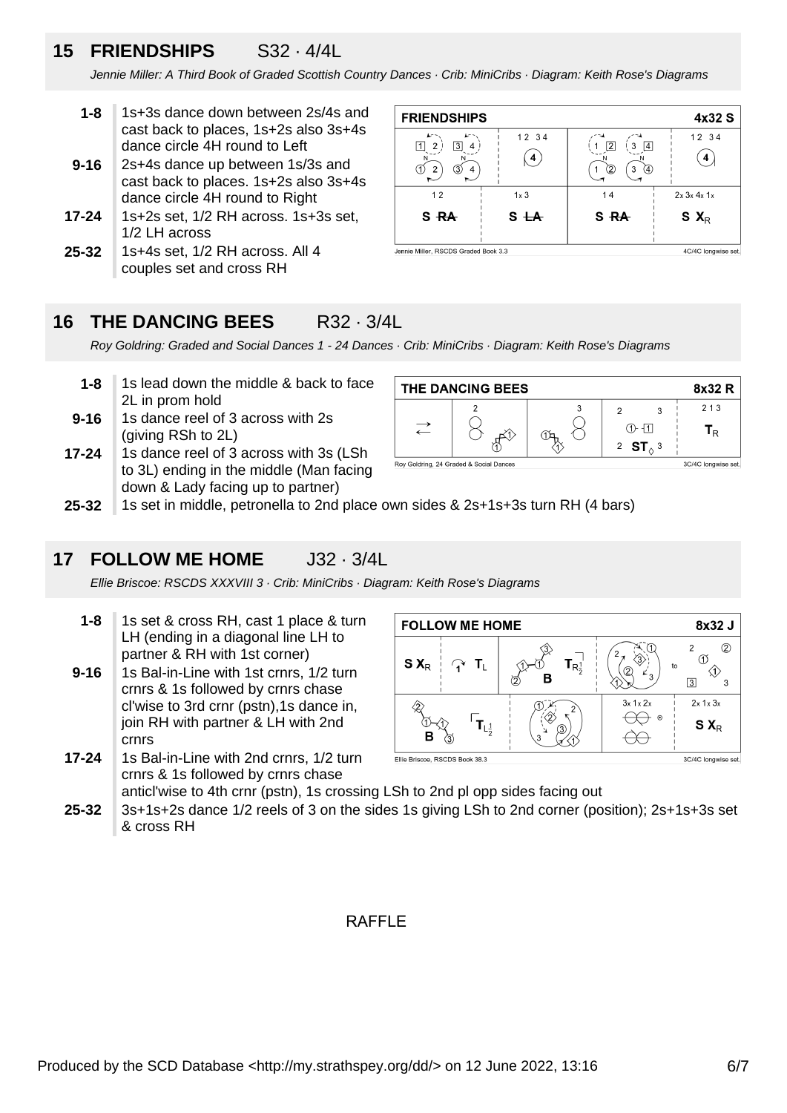# **15 FRIENDSHIPS** S32 · 4/4L

Jennie Miller: A Third Book of Graded Scottish Country Dances · Crib: MiniCribs · Diagram: Keith Rose's Diagrams

- **1-8** 1s+3s dance down between 2s/4s and cast back to places, 1s+2s also 3s+4s dance circle 4H round to Left
- **9-16** 2s+4s dance up between 1s/3s and cast back to places. 1s+2s also 3s+4s dance circle 4H round to Right
- **17-24** 1s+2s set, 1/2 RH across. 1s+3s set, 1/2 LH across
- **25-32** 1s+4s set, 1/2 RH across. All 4 couples set and cross RH

| <b>FRIENDSHIPS</b>                   |              |                                                                 | 4x32 S              |
|--------------------------------------|--------------|-----------------------------------------------------------------|---------------------|
| 3<br>2<br>3                          | 12 34<br>4   | $\overline{2}$<br>14<br>3<br>$^{(2)}$<br>$\left( 4\right)$<br>3 | 12 34               |
| 12                                   | $1 \times 3$ | 14                                                              | $2x$ $3x$ $4x$ $1x$ |
| S <del>RA</del>                      | $S+A$        | S <sub>RA</sub>                                                 | $S X_R$             |
| Jennie Miller, RSCDS Graded Book 3.3 |              |                                                                 | 4C/4C longwise set. |

#### **16 THE DANCING BEES** R32 · 3/4L

Roy Goldring: Graded and Social Dances 1 - 24 Dances · Crib: MiniCribs · Diagram: Keith Rose's Diagrams

- **1-8** 1s lead down the middle & back to face 2L in prom hold
- **9-16** 1s dance reel of 3 across with 2s (giving RSh to 2L)
- **17-24** 1s dance reel of 3 across with 3s (LSh to 3L) ending in the middle (Man facing down & Lady facing up to partner)

| THE DANCING BEES                        | 8x32 R              |                        |                           |
|-----------------------------------------|---------------------|------------------------|---------------------------|
|                                         |                     |                        | 213                       |
|                                         |                     | (1)- 11 I<br>2 $ST0$ 3 | $\mathbf{I}_{\mathbf{R}}$ |
| Roy Goldring, 24 Graded & Social Dances | 3C/4C longwise set. |                        |                           |

**25-32** 1s set in middle, petronella to 2nd place own sides & 2s+1s+3s turn RH (4 bars)

#### **17 FOLLOW ME HOME** J32 · 3/4L

Ellie Briscoe: RSCDS XXXVIII 3 · Crib: MiniCribs · Diagram: Keith Rose's Diagrams

- **1-8** 1s set & cross RH, cast 1 place & turn LH (ending in a diagonal line LH to partner & RH with 1st corner)
- **9-16** 1s Bal-in-Line with 1st crnrs, 1/2 turn crnrs & 1s followed by crnrs chase cl'wise to 3rd crnr (pstn),1s dance in, join RH with partner & LH with 2nd crnrs
- **17-24** 1s Bal-in-Line with 2nd crnrs, 1/2 turn crnrs & 1s followed by crnrs chase anticl'wise to 4th crnr (pstn), 1s crossing LSh to 2nd pl opp sides facing out



**25-32** 3s+1s+2s dance 1/2 reels of 3 on the sides 1s giving LSh to 2nd corner (position); 2s+1s+3s set & cross RH

### RAFFI<sub>F</sub>